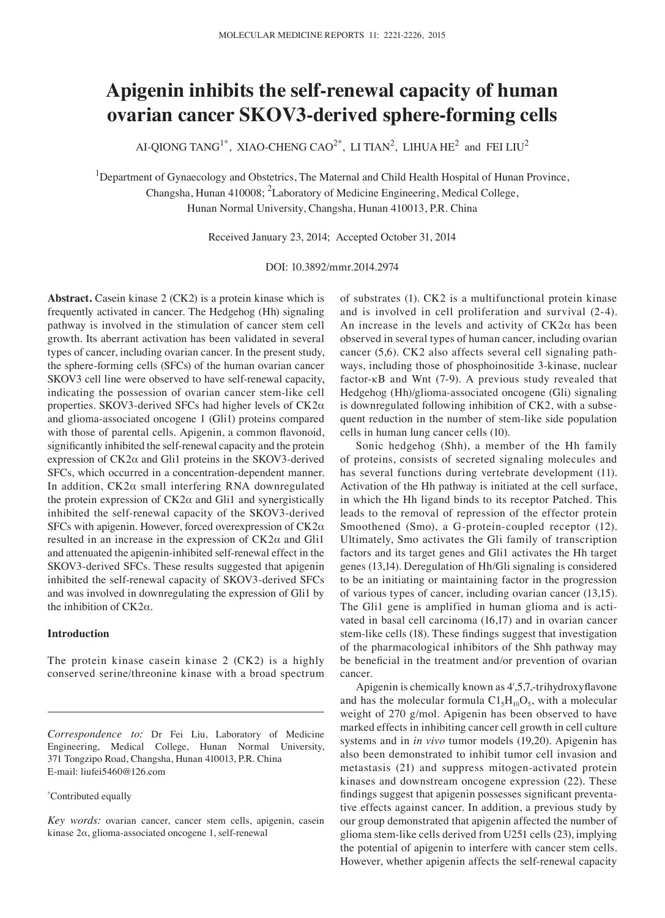# **Apigenin inhibits the self-renewal capacity of human ovarian cancer SKOV3-derived sphere-forming cells**

AI-QIONG TANG<sup>1\*</sup>, XIAO-CHENG CAO<sup>2\*</sup>, LI TIAN<sup>2</sup>, LIHUA HE<sup>2</sup> and FEI LIU<sup>2</sup>

<sup>1</sup>Department of Gynaecology and Obstetrics, The Maternal and Child Health Hospital of Hunan Province, Changsha, Hunan 410008; <sup>2</sup>Laboratory of Medicine Engineering, Medical College, Hunan Normal University, Changsha, Hunan 410013, P.R. China

Received January 23, 2014; Accepted October 31, 2014

DOI: 10.3892/mmr.2014.2974

**Abstract.** Casein kinase 2 (CK2) is a protein kinase which is frequently activated in cancer. The Hedgehog (Hh) signaling pathway is involved in the stimulation of cancer stem cell growth. Its aberrant activation has been validated in several types of cancer, including ovarian cancer. In the present study, the sphere-forming cells (SFCs) of the human ovarian cancer SKOV3 cell line were observed to have self-renewal capacity, indicating the possession of ovarian cancer stem-like cell properties. SKOV3-derived SFCs had higher levels of CK2α and glioma-associated oncogene 1 (Gli1) proteins compared with those of parental cells. Apigenin, a common flavonoid, significantly inhibited the self-renewal capacity and the protein expression of CK2α and Gli1 proteins in the SKOV3-derived SFCs, which occurred in a concentration-dependent manner. In addition, CK2α small interfering RNA downregulated the protein expression of  $CK2\alpha$  and Gli1 and synergistically inhibited the self-renewal capacity of the SKOV3-derived SFCs with apigenin. However, forced overexpression of CK2α resulted in an increase in the expression of CK2α and Gli1 and attenuated the apigenin-inhibited self-renewal effect in the SKOV3-derived SFCs. These results suggested that apigenin inhibited the self-renewal capacity of SKOV3-derived SFCs and was involved in downregulating the expression of Gli1 by the inhibition of  $CK2\alpha$ .

## **Introduction**

The protein kinase casein kinase 2 (CK2) is a highly conserved serine/threonine kinase with a broad spectrum

#### \* Contributed equally

of substrates (1). CK2 is a multifunctional protein kinase and is involved in cell proliferation and survival (2-4). An increase in the levels and activity of  $CK2\alpha$  has been observed in several types of human cancer, including ovarian cancer (5,6). CK2 also affects several cell signaling pathways, including those of phosphoinositide 3-kinase, nuclear factor- $\kappa$ B and Wnt (7-9). A previous study revealed that Hedgehog (Hh)/glioma-associated oncogene (Gli) signaling is downregulated following inhibition of CK2, with a subsequent reduction in the number of stem-like side population cells in human lung cancer cells (10).

Sonic hedgehog (Shh), a member of the Hh family of proteins, consists of secreted signaling molecules and has several functions during vertebrate development (11). Activation of the Hh pathway is initiated at the cell surface, in which the Hh ligand binds to its receptor Patched. This leads to the removal of repression of the effector protein Smoothened (Smo), a G-protein-coupled receptor (12). Ultimately, Smo activates the Gli family of transcription factors and its target genes and Gli1 activates the Hh target genes (13,14). Deregulation of Hh/Gli signaling is considered to be an initiating or maintaining factor in the progression of various types of cancer, including ovarian cancer (13,15). The Gli1 gene is amplified in human glioma and is activated in basal cell carcinoma (16,17) and in ovarian cancer stem-like cells (18). These findings suggest that investigation of the pharmacological inhibitors of the Shh pathway may be beneficial in the treatment and/or prevention of ovarian cancer.

Apigenin is chemically known as 4',5,7,‑trihydroxyflavone and has the molecular formula  $Cl<sub>5</sub>H<sub>10</sub>O<sub>5</sub>$ , with a molecular weight of 270 g/mol. Apigenin has been observed to have marked effects in inhibiting cancer cell growth in cell culture systems and in *in vivo* tumor models (19,20). Apigenin has also been demonstrated to inhibit tumor cell invasion and metastasis (21) and suppress mitogen-activated protein kinases and downstream oncogene expression (22). These findings suggest that apigenin possesses significant preventative effects against cancer. In addition, a previous study by our group demonstrated that apigenin affected the number of glioma stem-like cells derived from U251 cells (23), implying the potential of apigenin to interfere with cancer stem cells. However, whether apigenin affects the self-renewal capacity

*Correspondence to:* Dr Fei Liu, Laboratory of Medicine Engineering, Medical College, Hunan Normal University, 371 Tongzipo Road, Changsha, Hunan 410013, P.R. China E-mail: liufei5460@126.com

*Key words:* ovarian cancer, cancer stem cells, apigenin, casein kinase 2α, glioma-associated oncogene 1, self-renewal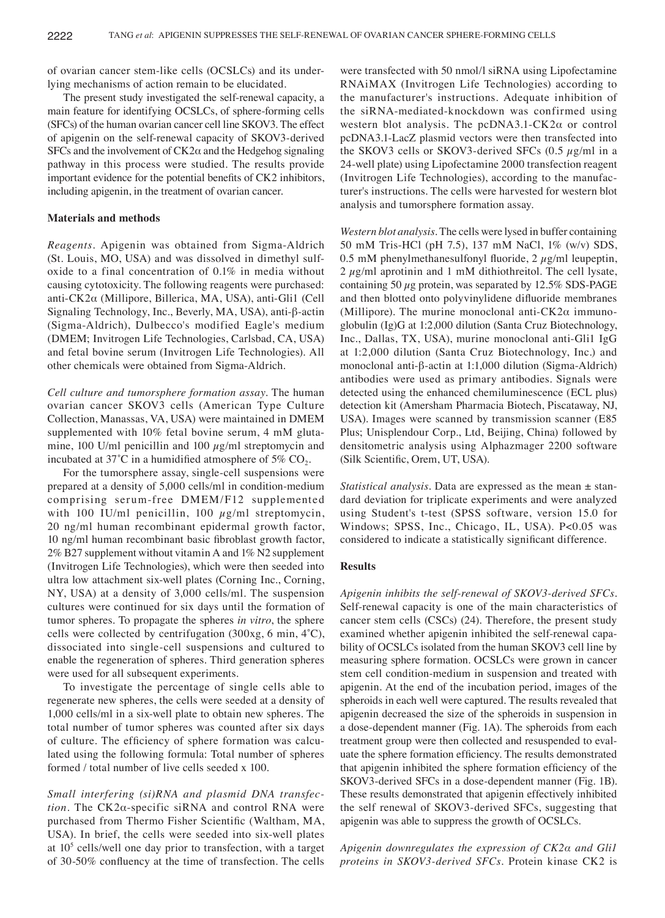of ovarian cancer stem-like cells (OCSLCs) and its underlying mechanisms of action remain to be elucidated.

The present study investigated the self-renewal capacity, a main feature for identifying OCSLCs, of sphere-forming cells (SFCs) of the human ovarian cancer cell line SKOV3. The effect of apigenin on the self-renewal capacity of SKOV3-derived SFCs and the involvement of  $CK2\alpha$  and the Hedgehog signaling pathway in this process were studied. The results provide important evidence for the potential benefits of CK2 inhibitors, including apigenin, in the treatment of ovarian cancer.

## **Materials and methods**

*Reagents.* Apigenin was obtained from Sigma-Aldrich (St. Louis, MO, USA) and was dissolved in dimethyl sulfoxide to a final concentration of 0.1% in media without causing cytotoxicity. The following reagents were purchased: anti-CK2α (Millipore, Billerica, MA, USA), anti-Gli1 (Cell Signaling Technology, Inc., Beverly, MA, USA), anti-β-actin (Sigma-Aldrich), Dulbecco's modified Eagle's medium (DMEM; Invitrogen Life Technologies, Carlsbad, CA, USA) and fetal bovine serum (Invitrogen Life Technologies). All other chemicals were obtained from Sigma-Aldrich.

*Cell culture and tumorsphere formation assay.* The human ovarian cancer SKOV3 cells (American Type Culture Collection, Manassas, VA, USA) were maintained in DMEM supplemented with 10% fetal bovine serum, 4 mM glutamine, 100 U/ml penicillin and 100  $\mu$ g/ml streptomycin and incubated at 37 $^{\circ}$ C in a humidified atmosphere of 5% CO<sub>2</sub>.

For the tumorsphere assay, single-cell suspensions were prepared at a density of 5,000 cells/ml in condition-medium comprising serum-free DMEM/F12 supplemented with 100 IU/ml penicillin, 100  $\mu$ g/ml streptomycin, 20 ng/ml human recombinant epidermal growth factor, 10 ng/ml human recombinant basic fibroblast growth factor, 2% B27 supplement without vitamin A and 1% N2 supplement (Invitrogen Life Technologies), which were then seeded into ultra low attachment six-well plates (Corning Inc., Corning, NY, USA) at a density of 3,000 cells/ml. The suspension cultures were continued for six days until the formation of tumor spheres. To propagate the spheres *in vitro*, the sphere cells were collected by centrifugation (300xg, 6 min, 4˚C), dissociated into single-cell suspensions and cultured to enable the regeneration of spheres. Third generation spheres were used for all subsequent experiments.

To investigate the percentage of single cells able to regenerate new spheres, the cells were seeded at a density of 1,000 cells/ml in a six-well plate to obtain new spheres. The total number of tumor spheres was counted after six days of culture. The efficiency of sphere formation was calculated using the following formula: Total number of spheres formed / total number of live cells seeded x 100.

*Small interfering (si)RNA and plasmid DNA transfec‑ tion.* The CK2α-specific siRNA and control RNA were purchased from Thermo Fisher Scientific (Waltham, MA, USA). In brief, the cells were seeded into six-well plates at 105 cells/well one day prior to transfection, with a target of 30‑50% confluency at the time of transfection. The cells

were transfected with 50 nmol/l siRNA using Lipofectamine RNAiMAX (Invitrogen Life Technologies) according to the manufacturer's instructions. Adequate inhibition of the siRNA-mediated-knockdown was confirmed using western blot analysis. The pcDNA3.1-CK2α or control pcDNA3.1-LacZ plasmid vectors were then transfected into the SKOV3 cells or SKOV3-derived SFCs  $(0.5 \mu g/ml \text{ in a})$ 24-well plate) using Lipofectamine 2000 transfection reagent (Invitrogen Life Technologies), according to the manufacturer's instructions. The cells were harvested for western blot analysis and tumorsphere formation assay.

*Western blot analysis.* The cells were lysed in buffer containing 50 mM Tris-HCl (pH 7.5), 137 mM NaCl, 1% (w/v) SDS, 0.5 mM phenylmethanesulfonyl fluoride,  $2 \mu g/ml$  leupeptin,  $2 \mu$ g/ml aprotinin and 1 mM dithiothreitol. The cell lysate, containing 50  $\mu$ g protein, was separated by 12.5% SDS-PAGE and then blotted onto polyvinylidene difluoride membranes (Millipore). The murine monoclonal anti- $CK2\alpha$  immunoglobulin (Ig)G at 1:2,000 dilution (Santa Cruz Biotechnology, Inc., Dallas, TX, USA), murine monoclonal anti-Gli1 IgG at 1:2,000 dilution (Santa Cruz Biotechnology, Inc.) and monoclonal anti-β-actin at 1:1,000 dilution (Sigma-Aldrich) antibodies were used as primary antibodies. Signals were detected using the enhanced chemiluminescence (ECL plus) detection kit (Amersham Pharmacia Biotech, Piscataway, NJ, USA). Images were scanned by transmission scanner (E85 Plus; Unisplendour Corp., Ltd, Beijing, China) followed by densitometric analysis using Alphazmager 2200 software (Silk Scientific, Orem, UT, USA).

*Statistical analysis.* Data are expressed as the mean ± standard deviation for triplicate experiments and were analyzed using Student's t-test (SPSS software, version 15.0 for Windows; SPSS, Inc., Chicago, IL, USA). P<0.05 was considered to indicate a statistically significant difference.

# **Results**

*Apigenin inhibits the self‑renewal of SKOV3‑derived SFCs.*  Self-renewal capacity is one of the main characteristics of cancer stem cells (CSCs) (24). Therefore, the present study examined whether apigenin inhibited the self-renewal capability of OCSLCs isolated from the human SKOV3 cell line by measuring sphere formation. OCSLCs were grown in cancer stem cell condition-medium in suspension and treated with apigenin. At the end of the incubation period, images of the spheroids in each well were captured. The results revealed that apigenin decreased the size of the spheroids in suspension in a dose-dependent manner (Fig. 1A). The spheroids from each treatment group were then collected and resuspended to evaluate the sphere formation efficiency. The results demonstrated that apigenin inhibited the sphere formation efficiency of the SKOV3-derived SFCs in a dose-dependent manner (Fig. 1B). These results demonstrated that apigenin effectively inhibited the self renewal of SKOV3-derived SFCs, suggesting that apigenin was able to suppress the growth of OCSLCs.

*Apigenin downregulates the expression of CK2α and Gli1 proteins in SKOV3‑derived SFCs.* Protein kinase CK2 is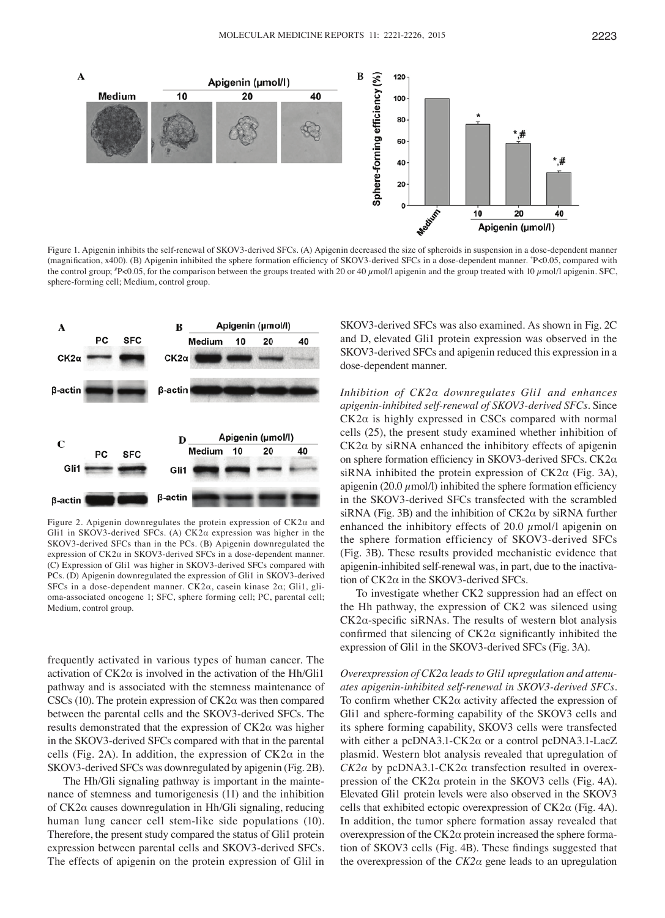

Figure 1. Apigenin inhibits the self-renewal of SKOV3-derived SFCs. (A) Apigenin decreased the size of spheroids in suspension in a dose-dependent manner (magnification, x400). (B) Apigenin inhibited the sphere formation efficiency of SKOV3‑derived SFCs in a dose‑dependent manner. \* P<0.05, compared with the control group;  $P < 0.05$ , for the comparison between the groups treated with 20 or 40  $\mu$ mol/l apigenin and the group treated with 10  $\mu$ mol/l apigenin. SFC, sphere-forming cell; Medium, control group.



Figure 2. Apigenin downregulates the protein expression of CK2α and Gli1 in SKOV3-derived SFCs. (A) CK2α expression was higher in the SKOV3-derived SFCs than in the PCs. (B) Apigenin downregulated the expression of  $CK2\alpha$  in SKOV3-derived SFCs in a dose-dependent manner. (C) Expression of Gli1 was higher in SKOV3-derived SFCs compared with PCs. (D) Apigenin downregulated the expression of Gli1 in SKOV3-derived SFCs in a dose-dependent manner. CK2α, casein kinase 2α; Gli1, glioma-associated oncogene 1; SFC, sphere forming cell; PC, parental cell; Medium, control group.

frequently activated in various types of human cancer. The activation of  $CK2\alpha$  is involved in the activation of the Hh/Gli1 pathway and is associated with the stemness maintenance of CSCs (10). The protein expression of  $CK2\alpha$  was then compared between the parental cells and the SKOV3-derived SFCs. The results demonstrated that the expression of CK2α was higher in the SKOV3-derived SFCs compared with that in the parental cells (Fig. 2A). In addition, the expression of  $CK2\alpha$  in the SKOV3-derived SFCs was downregulated by apigenin (Fig. 2B).

The Hh/Gli signaling pathway is important in the maintenance of stemness and tumorigenesis (11) and the inhibition of CK2α causes downregulation in Hh/Gli signaling, reducing human lung cancer cell stem-like side populations (10). Therefore, the present study compared the status of Gli1 protein expression between parental cells and SKOV3-derived SFCs. The effects of apigenin on the protein expression of Glil in SKOV3-derived SFCs was also examined. As shown in Fig. 2C and D, elevated Gli1 protein expression was observed in the SKOV3-derived SFCs and apigenin reduced this expression in a dose-dependent manner.

*Inhibition of CK2α downregulates Gli1 and enhances apigenin‑inhibited self‑renewal of SKOV3‑derived SFCs.* Since  $CK2\alpha$  is highly expressed in CSCs compared with normal cells (25), the present study examined whether inhibition of CK2α by siRNA enhanced the inhibitory effects of apigenin on sphere formation efficiency in SKOV3‑derived SFCs. CK2α siRNA inhibited the protein expression of  $CK2\alpha$  (Fig. 3A), apigenin (20.0  $\mu$ mol/l) inhibited the sphere formation efficiency in the SKOV3-derived SFCs transfected with the scrambled siRNA (Fig. 3B) and the inhibition of  $CK2\alpha$  by siRNA further enhanced the inhibitory effects of 20.0  $\mu$ mol/l apigenin on the sphere formation efficiency of SKOV3-derived SFCs (Fig. 3B). These results provided mechanistic evidence that apigenin-inhibited self-renewal was, in part, due to the inactivation of CK2α in the SKOV3-derived SFCs.

To investigate whether CK2 suppression had an effect on the Hh pathway, the expression of CK2 was silenced using  $CK2\alpha$ -specific siRNAs. The results of western blot analysis confirmed that silencing of  $CK2\alpha$  significantly inhibited the expression of Gli1 in the SKOV3-derived SFCs (Fig. 3A).

*Overexpression of CK2α leads to Gli1 upregulation and attenu‑ ates apigenin‑inhibited self‑renewal in SKOV3‑derived SFCs.*  To confirm whether CK2α activity affected the expression of Gli1 and sphere-forming capability of the SKOV3 cells and its sphere forming capability, SKOV3 cells were transfected with either a  $peDNA3.1-CK2\alpha$  or a control  $peDNA3.1\text{-}LacZ$ plasmid. Western blot analysis revealed that upregulation of *CK2α* by pcDNA3.1-CK2α transfection resulted in overexpression of the  $CK2\alpha$  protein in the SKOV3 cells (Fig. 4A). Elevated Gli1 protein levels were also observed in the SKOV3 cells that exhibited ectopic overexpression of CK2α (Fig. 4A). In addition, the tumor sphere formation assay revealed that overexpression of the CK2α protein increased the sphere formation of SKOV3 cells (Fig. 4B). These findings suggested that the overexpression of the *CK2α* gene leads to an upregulation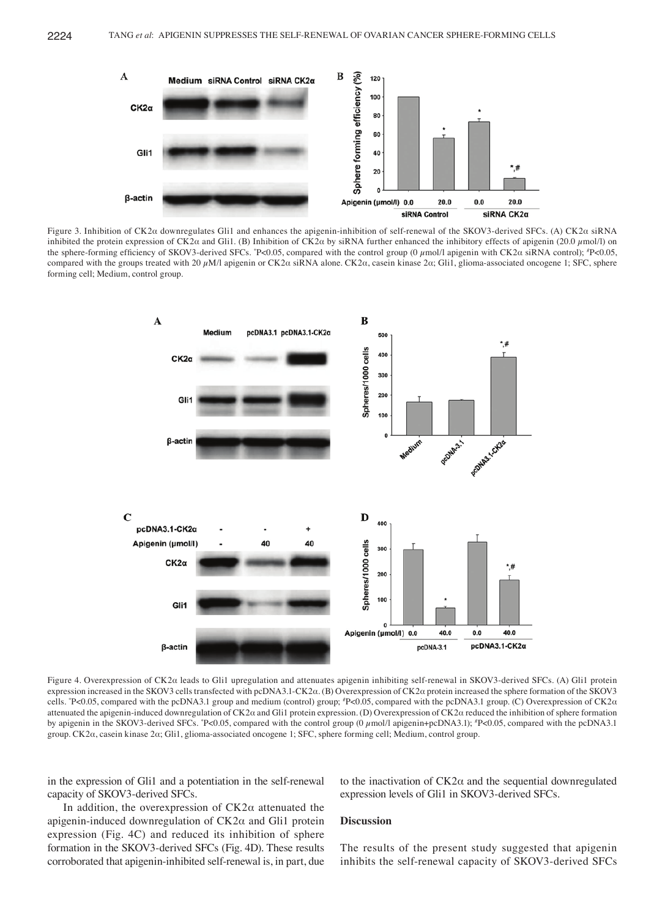

Figure 3. Inhibition of CK2α downregulates Gli1 and enhances the apigenin-inhibition of self-renewal of the SKOV3-derived SFCs. (A) CK2α siRNA inhibited the protein expression of CK2 $\alpha$  and Gli1. (B) Inhibition of CK2 $\alpha$  by siRNA further enhanced the inhibitory effects of apigenin (20.0 µmol/l) on the sphere-forming efficiency of SKOV3-derived SFCs. \*P<0.05, compared with the control group (0 μmol/l apigenin with CK2α siRNA control); \*P<0.05, compared with the groups treated with 20 μM/l apigenin or CK2α siRNA alone. CK2α, casein kinase 2α; Gli1, glioma-associated oncogene 1; SFC, sphere forming cell; Medium, control group.



Figure 4. Overexpression of CK2α leads to Gli1 upregulation and attenuates apigenin inhibiting self-renewal in SKOV3-derived SFCs. (A) Gli1 protein expression increased in the SKOV3 cells transfected with pcDNA3.1-CK2α. (B) Overexpression of CK2α protein increased the sphere formation of the SKOV3 cells. \* P<0.05, compared with the pcDNA3.1 group and medium (control) group; # P<0.05, compared with the pcDNA3.1 group. (C) Overexpression of CK2α attenuated the apigenin-induced downregulation of CK2α and Gli1 protein expression. (D) Overexpression of CK2α reduced the inhibition of sphere formation by apigenin in the SKOV3-derived SFCs. \*P<0.05, compared with the control group (0  $\mu$ mol/l apigenin+pcDNA3.1); \*P<0.05, compared with the pcDNA3.1 group. CK2α, casein kinase 2α; Gli1, glioma-associated oncogene 1; SFC, sphere forming cell; Medium, control group.

in the expression of Gli1 and a potentiation in the self-renewal capacity of SKOV3-derived SFCs.

to the inactivation of  $CK2\alpha$  and the sequential downregulated expression levels of Gli1 in SKOV3-derived SFCs.

In addition, the overexpression of  $CK2\alpha$  attenuated the apigenin-induced downregulation of  $CK2\alpha$  and Gli1 protein expression (Fig. 4C) and reduced its inhibition of sphere formation in the SKOV3-derived SFCs (Fig. 4D). These results corroborated that apigenin-inhibited self-renewal is, in part, due

## **Discussion**

The results of the present study suggested that apigenin inhibits the self-renewal capacity of SKOV3-derived SFCs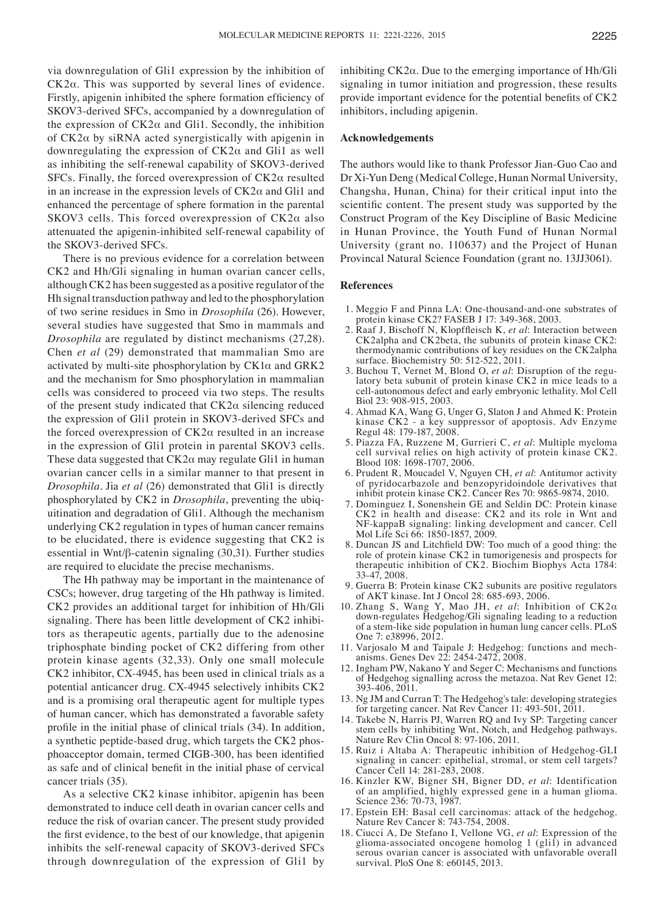via downregulation of Gli1 expression by the inhibition of CK2α. This was supported by several lines of evidence. Firstly, apigenin inhibited the sphere formation efficiency of SKOV3-derived SFCs, accompanied by a downregulation of the expression of  $CK2\alpha$  and Gli1. Secondly, the inhibition of CK2α by siRNA acted synergistically with apigenin in downregulating the expression of CK2α and Gli1 as well as inhibiting the self-renewal capability of SKOV3-derived SFCs. Finally, the forced overexpression of CK2α resulted in an increase in the expression levels of  $CK2\alpha$  and Gli1 and enhanced the percentage of sphere formation in the parental SKOV3 cells. This forced overexpression of  $CK2\alpha$  also attenuated the apigenin-inhibited self-renewal capability of the SKOV3-derived SFCs.

There is no previous evidence for a correlation between CK2 and Hh/Gli signaling in human ovarian cancer cells, although CK2 has been suggested as a positive regulator of the Hh signal transduction pathway and led to the phosphorylation of two serine residues in Smo in *Drosophila* (26). However, several studies have suggested that Smo in mammals and *Drosophila* are regulated by distinct mechanisms (27,28). Chen *et al* (29) demonstrated that mammalian Smo are activated by multi-site phosphorylation by  $CK1\alpha$  and  $GRK2$ and the mechanism for Smo phosphorylation in mammalian cells was considered to proceed via two steps. The results of the present study indicated that  $CK2\alpha$  silencing reduced the expression of Gli1 protein in SKOV3-derived SFCs and the forced overexpression of  $CK2\alpha$  resulted in an increase in the expression of Gli1 protein in parental SKOV3 cells. These data suggested that  $CK2\alpha$  may regulate Gli1 in human ovarian cancer cells in a similar manner to that present in *Drosophila*. Jia *et al* (26) demonstrated that Gli1 is directly phosphorylated by CK2 in *Drosophila*, preventing the ubiquitination and degradation of Gli1. Although the mechanism underlying CK2 regulation in types of human cancer remains to be elucidated, there is evidence suggesting that CK2 is essential in Wnt/β-catenin signaling (30,31). Further studies are required to elucidate the precise mechanisms.

The Hh pathway may be important in the maintenance of CSCs; however, drug targeting of the Hh pathway is limited. CK2 provides an additional target for inhibition of Hh/Gli signaling. There has been little development of CK2 inhibitors as therapeutic agents, partially due to the adenosine triphosphate binding pocket of CK2 differing from other protein kinase agents (32,33). Only one small molecule CK2 inhibitor, CX-4945, has been used in clinical trials as a potential anticancer drug. CX-4945 selectively inhibits CK2 and is a promising oral therapeutic agent for multiple types of human cancer, which has demonstrated a favorable safety profile in the initial phase of clinical trials (34). In addition, a synthetic peptide-based drug, which targets the CK2 phosphoacceptor domain, termed CIGB‑300, has been identified as safe and of clinical benefit in the initial phase of cervical cancer trials (35).

As a selective CK2 kinase inhibitor, apigenin has been demonstrated to induce cell death in ovarian cancer cells and reduce the risk of ovarian cancer. The present study provided the first evidence, to the best of our knowledge, that apigenin inhibits the self-renewal capacity of SKOV3-derived SFCs through downregulation of the expression of Gli1 by inhibiting CK2α. Due to the emerging importance of Hh/Gli signaling in tumor initiation and progression, these results provide important evidence for the potential benefits of CK2 inhibitors, including apigenin.

## **Acknowledgements**

The authors would like to thank Professor Jian-Guo Cao and Dr Xi-Yun Deng (Medical College, Hunan Normal University, Changsha, Hunan, China) for their critical input into the scientific content. The present study was supported by the Construct Program of the Key Discipline of Basic Medicine in Hunan Province, the Youth Fund of Hunan Normal University (grant no. 110637) and the Project of Hunan Provincal Natural Science Foundation (grant no. 13JJ3061).

#### **References**

- 1. Meggio F and Pinna LA: One-thousand-and-one substrates of protein kinase CK2? FASEB J 17: 349-368, 2003.
- 2. Raaf J, Bischoff N, Klopffleisch K, *et al*: Interaction between CK2alpha and CK2beta, the subunits of protein kinase CK2: thermodynamic contributions of key residues on the CK2alpha surface. Biochemistry 50: 512-522, 2011.
- 3. Buchou T, Vernet M, Blond O, *et al*: Disruption of the regulatory beta subunit of protein kinase CK2 in mice leads to a cell-autonomous defect and early embryonic lethality. Mol Cell Biol 23: 908-915, 2003.
- 4. Ahmad KA, Wang G, Unger G, Slaton J and Ahmed K: Protein kinase CK2 - a key suppressor of apoptosis. Adv Enzyme Regul 48: 179-187, 2008.
- 5. Piazza FA, Ruzzene M, Gurrieri C, *et al*: Multiple myeloma cell survival relies on high activity of protein kinase CK2. Blood 108: 1698-1707, 2006.
- 6. Prudent R, Moucadel V, Nguyen CH, *et al*: Antitumor activity of pyridocarbazole and benzopyridoindole derivatives that inhibit protein kinase CK2. Cancer Res 70: 9865-9874, 2010.
- 7. Dominguez I, Sonenshein GE and Seldin DC: Protein kinase CK2 in health and disease: CK2 and its role in Wnt and NF-kappaB signaling: linking development and cancer. Cell Mol Life Sci 66: 1850-1857, 2009.
- 8. Duncan JS and Litchfield DW: Too much of a good thing: the role of protein kinase CK2 in tumorigenesis and prospects for therapeutic inhibition of CK2. Biochim Biophys Acta 1784: 33-47, 2008.
- 9. Guerra B: Protein kinase CK2 subunits are positive regulators of AKT kinase. Int J Oncol 28: 685-693, 2006.
- 10. Zhang S, Wang Y, Mao JH, *et al*: Inhibition of CK2α down-regulates Hedgehog/Gli signaling leading to a reduction of a stem-like side population in human lung cancer cells. PLoS One 7: e38996, 2012.
- 11. Varjosalo M and Taipale J: Hedgehog: functions and mech- anisms. Genes Dev 22: 2454-2472, 2008.
- 12. Ingham PW, Nakano Y and Seger C: Mechanisms and functions of Hedgehog signalling across the metazoa. Nat Rev Genet 12: 393-406, 2011.
- 13. Ng JM and Curran T: The Hedgehog's tale: developing strategies for targeting cancer. Nat Rev Cancer 11: 493-501, 2011.
- 14. Takebe N, Harris PJ, Warren RQ and Ivy SP: Targeting cancer stem cells by inhibiting Wnt, Notch, and Hedgehog pathways. Nature Rev Clin Oncol 8: 97-106, 2011.
- 15. Ruiz i Altaba A: Therapeutic inhibition of Hedgehog-GLI signaling in cancer: epithelial, stromal, or stem cell targets? Cancer Cell 14: 281-283, 2008.
- 16. Kinzler KW, Bigner SH, Bigner DD, *et al*: Identification of an amplified, highly expressed gene in a human glioma. Science 236: 70-73, 1987.
- 17. Epstein EH: Basal cell carcinomas: attack of the hedgehog. Nature Rev Cancer 8: 743-754, 2008.
- 18. Ciucci A, De Stefano I, Vellone VG, *et al*: Expression of the glioma-associated oncogene homolog 1 (gli1) in advanced serous ovarian cancer is associated with unfavorable overall survival. PloS One 8: e60145, 2013.